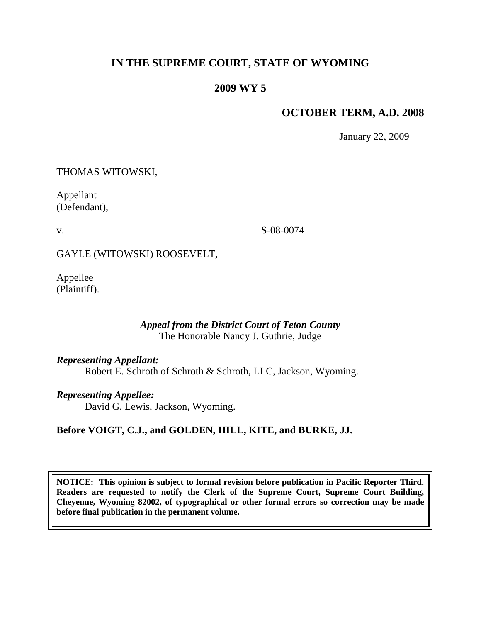# **IN THE SUPREME COURT, STATE OF WYOMING**

# **2009 WY 5**

## **OCTOBER TERM, A.D. 2008**

January 22, 2009

THOMAS WITOWSKI,

Appellant (Defendant),

v.

S-08-0074

GAYLE (WITOWSKI) ROOSEVELT,

Appellee (Plaintiff).

### *Appeal from the District Court of Teton County* The Honorable Nancy J. Guthrie, Judge

*Representing Appellant:*

Robert E. Schroth of Schroth & Schroth, LLC, Jackson, Wyoming.

## *Representing Appellee:*

David G. Lewis, Jackson, Wyoming.

# **Before VOIGT, C.J., and GOLDEN, HILL, KITE, and BURKE, JJ.**

**NOTICE: This opinion is subject to formal revision before publication in Pacific Reporter Third. Readers are requested to notify the Clerk of the Supreme Court, Supreme Court Building, Cheyenne, Wyoming 82002, of typographical or other formal errors so correction may be made before final publication in the permanent volume.**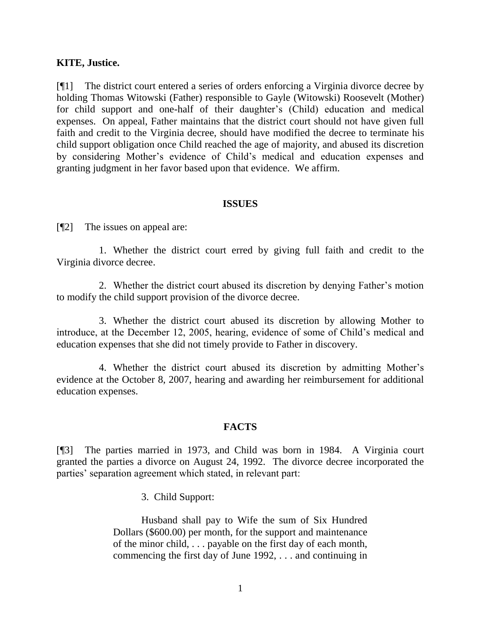#### **KITE, Justice.**

[¶1] The district court entered a series of orders enforcing a Virginia divorce decree by holding Thomas Witowski (Father) responsible to Gayle (Witowski) Roosevelt (Mother) for child support and one-half of their daughter's (Child) education and medical expenses. On appeal, Father maintains that the district court should not have given full faith and credit to the Virginia decree, should have modified the decree to terminate his child support obligation once Child reached the age of majority, and abused its discretion by considering Mother's evidence of Child's medical and education expenses and granting judgment in her favor based upon that evidence. We affirm.

#### **ISSUES**

[¶2] The issues on appeal are:

1. Whether the district court erred by giving full faith and credit to the Virginia divorce decree.

2. Whether the district court abused its discretion by denying Father's motion to modify the child support provision of the divorce decree.

3. Whether the district court abused its discretion by allowing Mother to introduce, at the December 12, 2005, hearing, evidence of some of Child's medical and education expenses that she did not timely provide to Father in discovery.

4. Whether the district court abused its discretion by admitting Mother's evidence at the October 8, 2007, hearing and awarding her reimbursement for additional education expenses.

#### **FACTS**

[¶3] The parties married in 1973, and Child was born in 1984. A Virginia court granted the parties a divorce on August 24, 1992. The divorce decree incorporated the parties' separation agreement which stated, in relevant part:

3. Child Support:

Husband shall pay to Wife the sum of Six Hundred Dollars (\$600.00) per month, for the support and maintenance of the minor child, . . . payable on the first day of each month, commencing the first day of June 1992, . . . and continuing in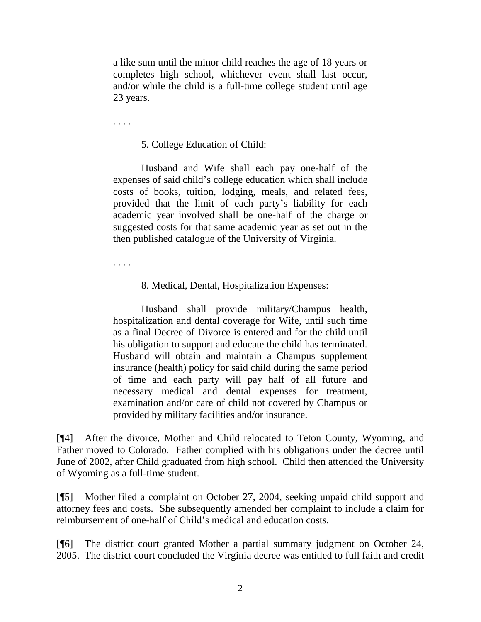a like sum until the minor child reaches the age of 18 years or completes high school, whichever event shall last occur, and/or while the child is a full-time college student until age 23 years.

. . . .

#### 5. College Education of Child:

Husband and Wife shall each pay one-half of the expenses of said child's college education which shall include costs of books, tuition, lodging, meals, and related fees, provided that the limit of each party's liability for each academic year involved shall be one-half of the charge or suggested costs for that same academic year as set out in the then published catalogue of the University of Virginia.

. . . .

8. Medical, Dental, Hospitalization Expenses:

Husband shall provide military/Champus health, hospitalization and dental coverage for Wife, until such time as a final Decree of Divorce is entered and for the child until his obligation to support and educate the child has terminated. Husband will obtain and maintain a Champus supplement insurance (health) policy for said child during the same period of time and each party will pay half of all future and necessary medical and dental expenses for treatment, examination and/or care of child not covered by Champus or provided by military facilities and/or insurance.

[¶4] After the divorce, Mother and Child relocated to Teton County, Wyoming, and Father moved to Colorado. Father complied with his obligations under the decree until June of 2002, after Child graduated from high school. Child then attended the University of Wyoming as a full-time student.

[¶5] Mother filed a complaint on October 27, 2004, seeking unpaid child support and attorney fees and costs. She subsequently amended her complaint to include a claim for reimbursement of one-half of Child's medical and education costs.

[¶6] The district court granted Mother a partial summary judgment on October 24, 2005. The district court concluded the Virginia decree was entitled to full faith and credit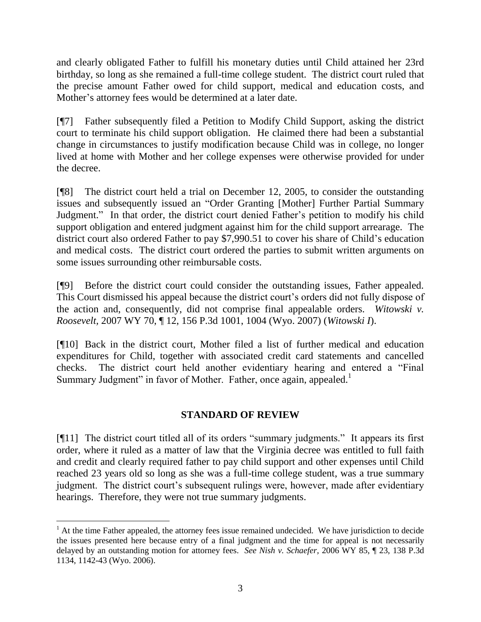and clearly obligated Father to fulfill his monetary duties until Child attained her 23rd birthday, so long as she remained a full-time college student. The district court ruled that the precise amount Father owed for child support, medical and education costs, and Mother's attorney fees would be determined at a later date.

[¶7] Father subsequently filed a Petition to Modify Child Support, asking the district court to terminate his child support obligation. He claimed there had been a substantial change in circumstances to justify modification because Child was in college, no longer lived at home with Mother and her college expenses were otherwise provided for under the decree.

[¶8] The district court held a trial on December 12, 2005, to consider the outstanding issues and subsequently issued an "Order Granting [Mother] Further Partial Summary Judgment." In that order, the district court denied Father's petition to modify his child support obligation and entered judgment against him for the child support arrearage. The district court also ordered Father to pay \$7,990.51 to cover his share of Child's education and medical costs. The district court ordered the parties to submit written arguments on some issues surrounding other reimbursable costs.

[¶9] Before the district court could consider the outstanding issues, Father appealed. This Court dismissed his appeal because the district court's orders did not fully dispose of the action and, consequently, did not comprise final appealable orders. *Witowski v. Roosevelt,* 2007 WY 70, ¶ 12, 156 P.3d 1001, 1004 (Wyo. 2007) (*Witowski I*).

[¶10] Back in the district court, Mother filed a list of further medical and education expenditures for Child, together with associated credit card statements and cancelled checks. The district court held another evidentiary hearing and entered a "Final" Summary Judgment" in favor of Mother. Father, once again, appealed.<sup>1</sup>

# **STANDARD OF REVIEW**

[¶11] The district court titled all of its orders "summary judgments." It appears its first order, where it ruled as a matter of law that the Virginia decree was entitled to full faith and credit and clearly required father to pay child support and other expenses until Child reached 23 years old so long as she was a full-time college student, was a true summary judgment. The district court's subsequent rulings were, however, made after evidentiary hearings. Therefore, they were not true summary judgments.

 $1$  At the time Father appealed, the attorney fees issue remained undecided. We have jurisdiction to decide the issues presented here because entry of a final judgment and the time for appeal is not necessarily delayed by an outstanding motion for attorney fees. *See Nish v. Schaefer,* 2006 WY 85, ¶ 23, 138 P.3d 1134, 1142-43 (Wyo. 2006).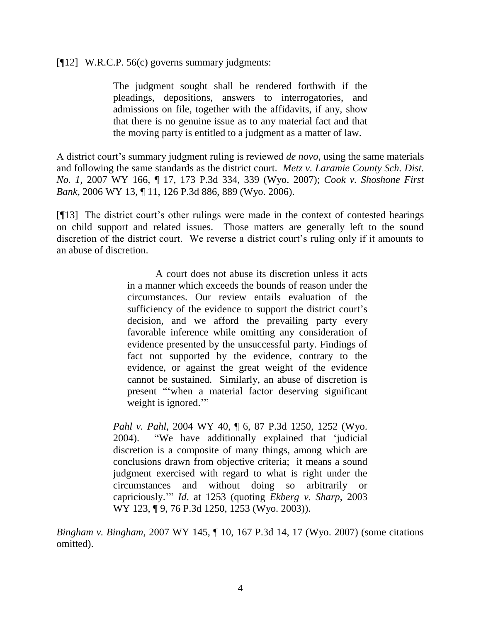[¶12] W.R.C.P. 56(c) governs summary judgments:

The judgment sought shall be rendered forthwith if the pleadings, depositions, answers to interrogatories, and admissions on file, together with the affidavits, if any, show that there is no genuine issue as to any material fact and that the moving party is entitled to a judgment as a matter of law.

A district court's summary judgment ruling is reviewed *de novo*, using the same materials and following the same standards as the district court. *Metz v. Laramie County Sch. Dist. No. 1,* 2007 WY 166, ¶ 17, 173 P.3d 334, 339 (Wyo. 2007); *Cook v. Shoshone First Bank,* 2006 WY 13, ¶ 11, 126 P.3d 886, 889 (Wyo. 2006).

[¶13] The district court's other rulings were made in the context of contested hearings on child support and related issues. Those matters are generally left to the sound discretion of the district court. We reverse a district court's ruling only if it amounts to an abuse of discretion.

> A court does not abuse its discretion unless it acts in a manner which exceeds the bounds of reason under the circumstances. Our review entails evaluation of the sufficiency of the evidence to support the district court's decision, and we afford the prevailing party every favorable inference while omitting any consideration of evidence presented by the unsuccessful party. Findings of fact not supported by the evidence, contrary to the evidence, or against the great weight of the evidence cannot be sustained. Similarly, an abuse of discretion is present "when a material factor deserving significant weight is ignored."

*Pahl v. Pahl*, 2004 WY 40, ¶ 6, 87 P.3d 1250, 1252 (Wyo. 2004). "We have additionally explained that 'judicial discretion is a composite of many things, among which are conclusions drawn from objective criteria; it means a sound judgment exercised with regard to what is right under the circumstances and without doing so arbitrarily or capriciously.'‖ *Id*. at 1253 (quoting *Ekberg v. Sharp*, 2003 WY 123, ¶ 9, 76 P.3d 1250, 1253 (Wyo. 2003)).

*Bingham v. Bingham,* 2007 WY 145, ¶ 10, 167 P.3d 14, 17 (Wyo. 2007) (some citations omitted).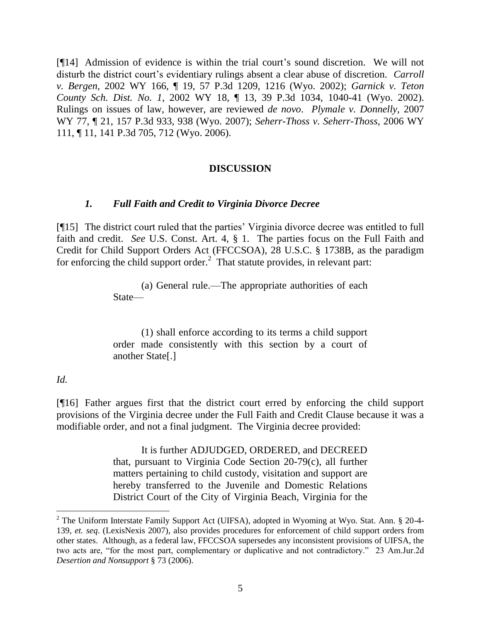[¶14] Admission of evidence is within the trial court's sound discretion. We will not disturb the district court's evidentiary rulings absent a clear abuse of discretion. *Carroll v. Bergen,* 2002 WY 166, ¶ 19, 57 P.3d 1209, 1216 (Wyo. 2002); *Garnick v. Teton County Sch. Dist. No. 1*, 2002 WY 18, ¶ 13, 39 P.3d 1034, 1040-41 (Wyo. 2002). Rulings on issues of law, however, are reviewed *de novo*. *Plymale v. Donnelly,* 2007 WY 77, ¶ 21, 157 P.3d 933, 938 (Wyo. 2007); *Seherr-Thoss v. Seherr-Thoss,* 2006 WY 111, ¶ 11, 141 P.3d 705, 712 (Wyo. 2006).

### **DISCUSSION**

#### *1. Full Faith and Credit to Virginia Divorce Decree*

[¶15] The district court ruled that the parties' Virginia divorce decree was entitled to full faith and credit. *See* U.S. Const. Art. 4, § 1. The parties focus on the Full Faith and Credit for Child Support Orders Act (FFCCSOA), 28 U.S.C. § 1738B, as the paradigm for enforcing the child support order.<sup>2</sup> That statute provides, in relevant part:

> (a) General rule.—The appropriate authorities of each State—

> (1) shall enforce according to its terms a child support order made consistently with this section by a court of another State[.]

#### *Id.*

[¶16] Father argues first that the district court erred by enforcing the child support provisions of the Virginia decree under the Full Faith and Credit Clause because it was a modifiable order, and not a final judgment. The Virginia decree provided:

> It is further ADJUDGED, ORDERED, and DECREED that, pursuant to Virginia Code Section 20-79(c), all further matters pertaining to child custody, visitation and support are hereby transferred to the Juvenile and Domestic Relations District Court of the City of Virginia Beach, Virginia for the

<sup>&</sup>lt;sup>2</sup> The Uniform Interstate Family Support Act (UIFSA), adopted in Wyoming at Wyo. Stat. Ann. § 20-4-139, *et. seq*. (LexisNexis 2007), also provides procedures for enforcement of child support orders from other states. Although, as a federal law, FFCCSOA supersedes any inconsistent provisions of UIFSA, the two acts are, "for the most part, complementary or duplicative and not contradictory." 23 Am.Jur.2d *Desertion and Nonsupport* § 73 (2006).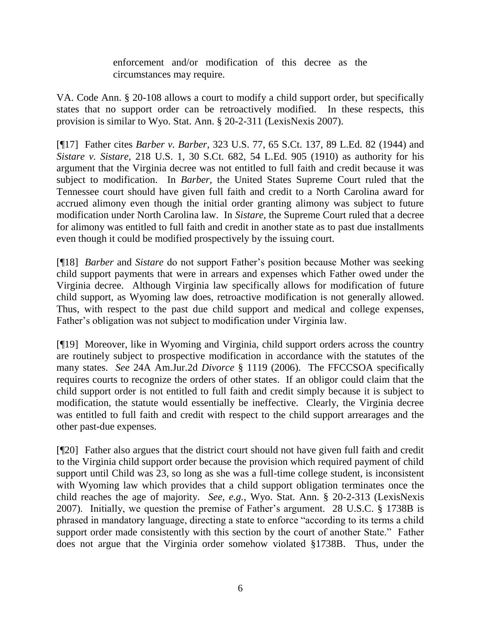enforcement and/or modification of this decree as the circumstances may require.

VA. Code Ann. § 20-108 allows a court to modify a child support order, but specifically states that no support order can be retroactively modified. In these respects, this provision is similar to Wyo. Stat. Ann. § 20-2-311 (LexisNexis 2007).

[¶17] Father cites *Barber v. Barber,* 323 U.S. 77, 65 S.Ct. 137, 89 L.Ed. 82 (1944) and *Sistare v. Sistare,* 218 U.S. 1, 30 S.Ct. 682, 54 L.Ed. 905 (1910) as authority for his argument that the Virginia decree was not entitled to full faith and credit because it was subject to modification. In *Barber,* the United States Supreme Court ruled that the Tennessee court should have given full faith and credit to a North Carolina award for accrued alimony even though the initial order granting alimony was subject to future modification under North Carolina law. In *Sistare,* the Supreme Court ruled that a decree for alimony was entitled to full faith and credit in another state as to past due installments even though it could be modified prospectively by the issuing court.

[¶18] *Barber* and *Sistare* do not support Father's position because Mother was seeking child support payments that were in arrears and expenses which Father owed under the Virginia decree. Although Virginia law specifically allows for modification of future child support, as Wyoming law does, retroactive modification is not generally allowed. Thus, with respect to the past due child support and medical and college expenses, Father's obligation was not subject to modification under Virginia law.

[¶19] Moreover, like in Wyoming and Virginia, child support orders across the country are routinely subject to prospective modification in accordance with the statutes of the many states. *See* 24A Am.Jur.2d *Divorce* § 1119 (2006). The FFCCSOA specifically requires courts to recognize the orders of other states. If an obligor could claim that the child support order is not entitled to full faith and credit simply because it is subject to modification, the statute would essentially be ineffective. Clearly, the Virginia decree was entitled to full faith and credit with respect to the child support arrearages and the other past-due expenses.

[¶20] Father also argues that the district court should not have given full faith and credit to the Virginia child support order because the provision which required payment of child support until Child was 23, so long as she was a full-time college student, is inconsistent with Wyoming law which provides that a child support obligation terminates once the child reaches the age of majority. *See, e.g.*, Wyo. Stat. Ann. § 20-2-313 (LexisNexis 2007). Initially, we question the premise of Father's argument. 28 U.S.C. § 1738B is phrased in mandatory language, directing a state to enforce "according to its terms a child support order made consistently with this section by the court of another State." Father does not argue that the Virginia order somehow violated §1738B. Thus, under the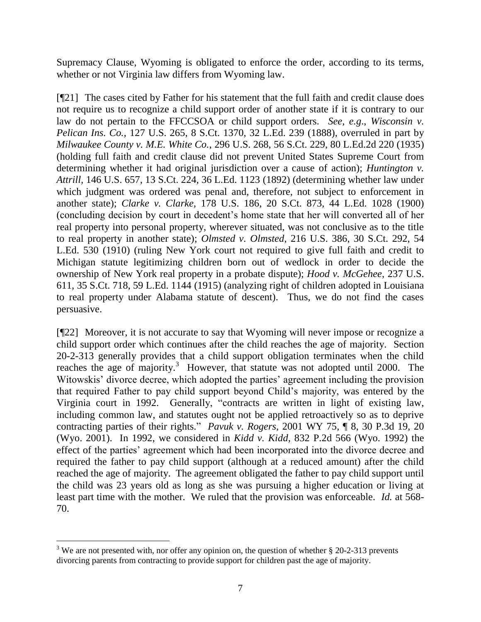Supremacy Clause, Wyoming is obligated to enforce the order, according to its terms, whether or not Virginia law differs from Wyoming law.

[¶21] The cases cited by Father for his statement that the full faith and credit clause does not require us to recognize a child support order of another state if it is contrary to our law do not pertain to the FFCCSOA or child support orders. *See, e.g*., *Wisconsin v. Pelican Ins. Co.,* 127 U.S. 265, 8 S.Ct. 1370, 32 L.Ed. 239 (1888), overruled in part by *Milwaukee County v. M.E. White Co.,* 296 U.S. 268, 56 S.Ct. 229, 80 L.Ed.2d 220 (1935) (holding full faith and credit clause did not prevent United States Supreme Court from determining whether it had original jurisdiction over a cause of action); *Huntington v. Attrill,* 146 U.S. 657, 13 S.Ct. 224, 36 L.Ed. 1123 (1892) (determining whether law under which judgment was ordered was penal and, therefore, not subject to enforcement in another state); *Clarke v. Clarke,* 178 U.S. 186, 20 S.Ct. 873, 44 L.Ed. 1028 (1900) (concluding decision by court in decedent's home state that her will converted all of her real property into personal property, wherever situated, was not conclusive as to the title to real property in another state); *Olmsted v. Olmsted,* 216 U.S. 386, 30 S.Ct. 292, 54 L.Ed. 530 (1910) (ruling New York court not required to give full faith and credit to Michigan statute legitimizing children born out of wedlock in order to decide the ownership of New York real property in a probate dispute); *Hood v. McGehee,* 237 U.S. 611, 35 S.Ct. 718, 59 L.Ed. 1144 (1915) (analyzing right of children adopted in Louisiana to real property under Alabama statute of descent). Thus, we do not find the cases persuasive.

[¶22] Moreover, it is not accurate to say that Wyoming will never impose or recognize a child support order which continues after the child reaches the age of majority. Section 20-2-313 generally provides that a child support obligation terminates when the child reaches the age of majority.<sup>3</sup> However, that statute was not adopted until 2000. The Witowskis' divorce decree, which adopted the parties' agreement including the provision that required Father to pay child support beyond Child's majority, was entered by the Virginia court in 1992. Generally, "contracts are written in light of existing law, including common law, and statutes ought not be applied retroactively so as to deprive contracting parties of their rights." *Pavuk v. Rogers,* 2001 WY 75, ¶ 8, 30 P.3d 19, 20 (Wyo. 2001). In 1992, we considered in *Kidd v. Kidd,* 832 P.2d 566 (Wyo. 1992) the effect of the parties' agreement which had been incorporated into the divorce decree and required the father to pay child support (although at a reduced amount) after the child reached the age of majority. The agreement obligated the father to pay child support until the child was 23 years old as long as she was pursuing a higher education or living at least part time with the mother. We ruled that the provision was enforceable. *Id.* at 568- 70.

l

<sup>&</sup>lt;sup>3</sup> We are not presented with, nor offer any opinion on, the question of whether  $\S$  20-2-313 prevents divorcing parents from contracting to provide support for children past the age of majority.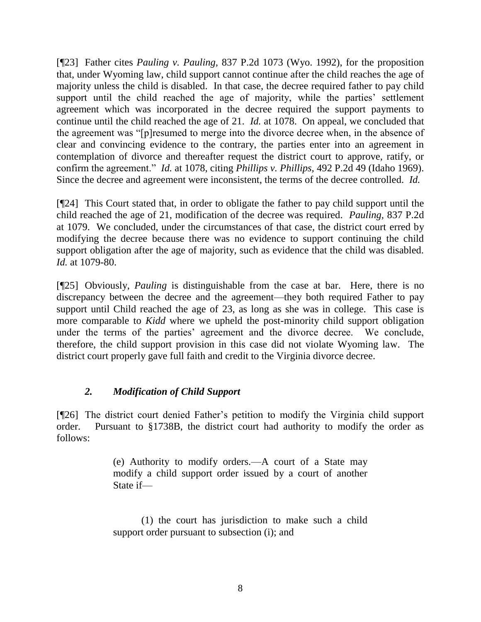[¶23] Father cites *Pauling v. Pauling,* 837 P.2d 1073 (Wyo. 1992), for the proposition that, under Wyoming law, child support cannot continue after the child reaches the age of majority unless the child is disabled. In that case, the decree required father to pay child support until the child reached the age of majority, while the parties' settlement agreement which was incorporated in the decree required the support payments to continue until the child reached the age of 21. *Id.* at 1078. On appeal, we concluded that the agreement was "[p]resumed to merge into the divorce decree when, in the absence of clear and convincing evidence to the contrary, the parties enter into an agreement in contemplation of divorce and thereafter request the district court to approve, ratify, or confirm the agreement.‖ *Id.* at 1078, citing *Phillips v. Phillips,* 492 P.2d 49 (Idaho 1969). Since the decree and agreement were inconsistent, the terms of the decree controlled. *Id.* 

[¶24] This Court stated that, in order to obligate the father to pay child support until the child reached the age of 21, modification of the decree was required. *Pauling,* 837 P.2d at 1079. We concluded, under the circumstances of that case, the district court erred by modifying the decree because there was no evidence to support continuing the child support obligation after the age of majority, such as evidence that the child was disabled. *Id.* at 1079-80.

[¶25] Obviously, *Pauling* is distinguishable from the case at bar. Here, there is no discrepancy between the decree and the agreement—they both required Father to pay support until Child reached the age of 23, as long as she was in college. This case is more comparable to *Kidd* where we upheld the post-minority child support obligation under the terms of the parties' agreement and the divorce decree. We conclude, therefore, the child support provision in this case did not violate Wyoming law. The district court properly gave full faith and credit to the Virginia divorce decree.

## *2. Modification of Child Support*

[¶26] The district court denied Father's petition to modify the Virginia child support order. Pursuant to §1738B, the district court had authority to modify the order as follows:

> (e) Authority to modify orders.—A court of a State may modify a child support order issued by a court of another State if—

> (1) the court has jurisdiction to make such a child support order pursuant to subsection (i); and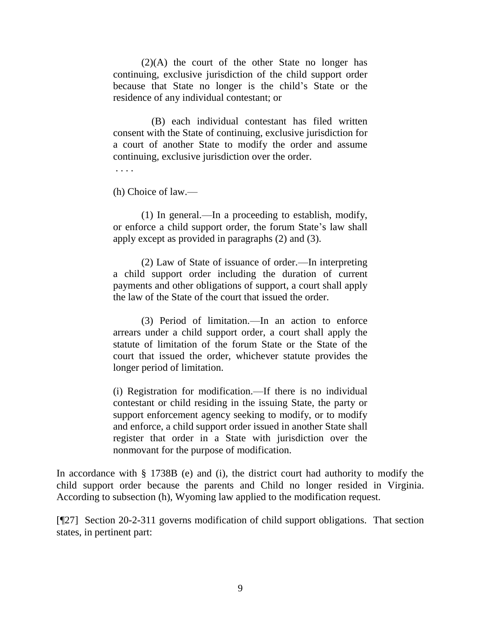(2)(A) the court of the other State no longer has continuing, exclusive jurisdiction of the child support order because that State no longer is the child's State or the residence of any individual contestant; or

 (B) each individual contestant has filed written consent with the State of continuing, exclusive jurisdiction for a court of another State to modify the order and assume continuing, exclusive jurisdiction over the order.

. . . .

(h) Choice of law.—

(1) In general.—In a proceeding to establish, modify, or enforce a child support order, the forum State's law shall apply except as provided in paragraphs (2) and (3).

(2) Law of State of issuance of order.—In interpreting a child support order including the duration of current payments and other obligations of support, a court shall apply the law of the State of the court that issued the order.

(3) Period of limitation.—In an action to enforce arrears under a child support order, a court shall apply the statute of limitation of the forum State or the State of the court that issued the order, whichever statute provides the longer period of limitation.

(i) Registration for modification.—If there is no individual contestant or child residing in the issuing State, the party or support enforcement agency seeking to modify, or to modify and enforce, a child support order issued in another State shall register that order in a State with jurisdiction over the nonmovant for the purpose of modification.

In accordance with § 1738B (e) and (i), the district court had authority to modify the child support order because the parents and Child no longer resided in Virginia. According to subsection (h), Wyoming law applied to the modification request.

[¶27] Section 20-2-311 governs modification of child support obligations. That section states, in pertinent part: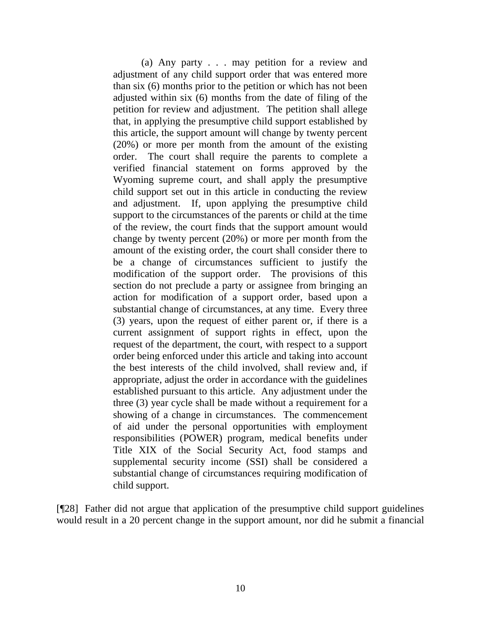(a) Any party . . . may petition for a review and adjustment of any child support order that was entered more than six (6) months prior to the petition or which has not been adjusted within six (6) months from the date of filing of the petition for review and adjustment. The petition shall allege that, in applying the presumptive child support established by this article, the support amount will change by twenty percent (20%) or more per month from the amount of the existing order. The court shall require the parents to complete a verified financial statement on forms approved by the Wyoming supreme court, and shall apply the presumptive child support set out in this article in conducting the review and adjustment. If, upon applying the presumptive child support to the circumstances of the parents or child at the time of the review, the court finds that the support amount would change by twenty percent (20%) or more per month from the amount of the existing order, the court shall consider there to be a change of circumstances sufficient to justify the modification of the support order. The provisions of this section do not preclude a party or assignee from bringing an action for modification of a support order, based upon a substantial change of circumstances, at any time. Every three (3) years, upon the request of either parent or, if there is a current assignment of support rights in effect, upon the request of the department, the court, with respect to a support order being enforced under this article and taking into account the best interests of the child involved, shall review and, if appropriate, adjust the order in accordance with the guidelines established pursuant to this article. Any adjustment under the three (3) year cycle shall be made without a requirement for a showing of a change in circumstances. The commencement of aid under the personal opportunities with employment responsibilities (POWER) program, medical benefits under Title XIX of the Social Security Act, food stamps and supplemental security income (SSI) shall be considered a substantial change of circumstances requiring modification of child support.

[¶28] Father did not argue that application of the presumptive child support guidelines would result in a 20 percent change in the support amount, nor did he submit a financial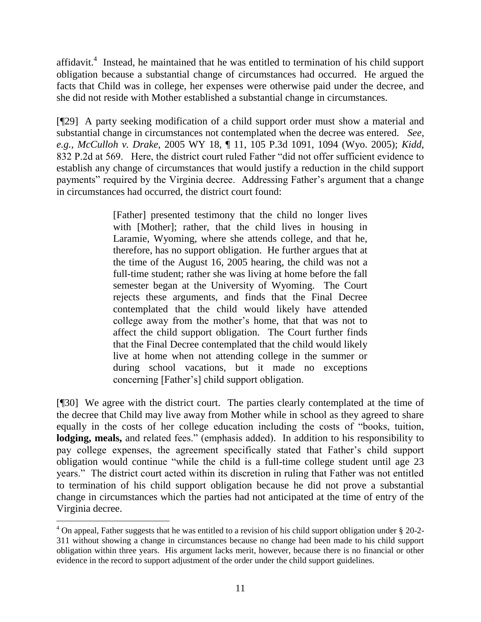affidavit.<sup>4</sup> Instead, he maintained that he was entitled to termination of his child support obligation because a substantial change of circumstances had occurred. He argued the facts that Child was in college, her expenses were otherwise paid under the decree, and she did not reside with Mother established a substantial change in circumstances.

[¶29] A party seeking modification of a child support order must show a material and substantial change in circumstances not contemplated when the decree was entered. *See, e.g., McCulloh v. Drake,* 2005 WY 18, ¶ 11, 105 P.3d 1091, 1094 (Wyo. 2005); *Kidd,*  832 P.2d at 569. Here, the district court ruled Father "did not offer sufficient evidence to establish any change of circumstances that would justify a reduction in the child support payments" required by the Virginia decree. Addressing Father's argument that a change in circumstances had occurred, the district court found:

> [Father] presented testimony that the child no longer lives with [Mother]; rather, that the child lives in housing in Laramie, Wyoming, where she attends college, and that he, therefore, has no support obligation. He further argues that at the time of the August 16, 2005 hearing, the child was not a full-time student; rather she was living at home before the fall semester began at the University of Wyoming. The Court rejects these arguments, and finds that the Final Decree contemplated that the child would likely have attended college away from the mother's home, that that was not to affect the child support obligation. The Court further finds that the Final Decree contemplated that the child would likely live at home when not attending college in the summer or during school vacations, but it made no exceptions concerning [Father's] child support obligation.

[¶30] We agree with the district court. The parties clearly contemplated at the time of the decree that Child may live away from Mother while in school as they agreed to share equally in the costs of her college education including the costs of "books, tuition, lodging, meals, and related fees." (emphasis added). In addition to his responsibility to pay college expenses, the agreement specifically stated that Father's child support obligation would continue "while the child is a full-time college student until age 23 years." The district court acted within its discretion in ruling that Father was not entitled to termination of his child support obligation because he did not prove a substantial change in circumstances which the parties had not anticipated at the time of entry of the Virginia decree.

 $4$  On appeal, Father suggests that he was entitled to a revision of his child support obligation under § 20-2-311 without showing a change in circumstances because no change had been made to his child support obligation within three years. His argument lacks merit, however, because there is no financial or other evidence in the record to support adjustment of the order under the child support guidelines.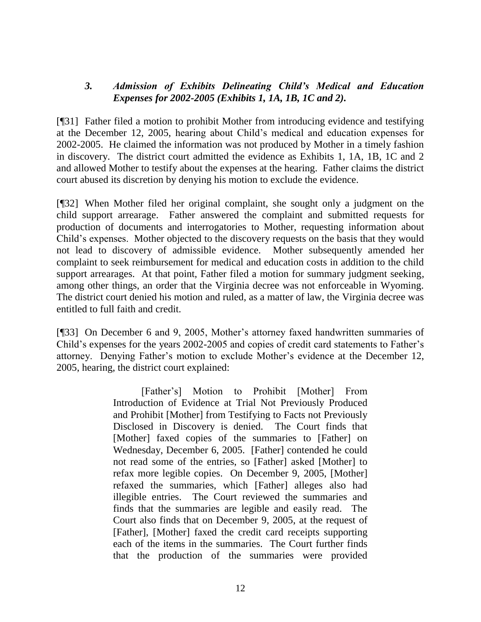## *3. Admission of Exhibits Delineating Child's Medical and Education Expenses for 2002-2005 (Exhibits 1, 1A, 1B, 1C and 2).*

[¶31] Father filed a motion to prohibit Mother from introducing evidence and testifying at the December 12, 2005, hearing about Child's medical and education expenses for 2002-2005. He claimed the information was not produced by Mother in a timely fashion in discovery. The district court admitted the evidence as Exhibits 1, 1A, 1B, 1C and 2 and allowed Mother to testify about the expenses at the hearing. Father claims the district court abused its discretion by denying his motion to exclude the evidence.

[¶32] When Mother filed her original complaint, she sought only a judgment on the child support arrearage. Father answered the complaint and submitted requests for production of documents and interrogatories to Mother, requesting information about Child's expenses. Mother objected to the discovery requests on the basis that they would not lead to discovery of admissible evidence. Mother subsequently amended her complaint to seek reimbursement for medical and education costs in addition to the child support arrearages. At that point, Father filed a motion for summary judgment seeking, among other things, an order that the Virginia decree was not enforceable in Wyoming. The district court denied his motion and ruled, as a matter of law, the Virginia decree was entitled to full faith and credit.

[¶33] On December 6 and 9, 2005, Mother's attorney faxed handwritten summaries of Child's expenses for the years 2002-2005 and copies of credit card statements to Father's attorney. Denying Father's motion to exclude Mother's evidence at the December 12, 2005, hearing, the district court explained:

> [Father's] Motion to Prohibit [Mother] From Introduction of Evidence at Trial Not Previously Produced and Prohibit [Mother] from Testifying to Facts not Previously Disclosed in Discovery is denied. The Court finds that [Mother] faxed copies of the summaries to [Father] on Wednesday, December 6, 2005. [Father] contended he could not read some of the entries, so [Father] asked [Mother] to refax more legible copies. On December 9, 2005, [Mother] refaxed the summaries, which [Father] alleges also had illegible entries. The Court reviewed the summaries and finds that the summaries are legible and easily read. The Court also finds that on December 9, 2005, at the request of [Father], [Mother] faxed the credit card receipts supporting each of the items in the summaries. The Court further finds that the production of the summaries were provided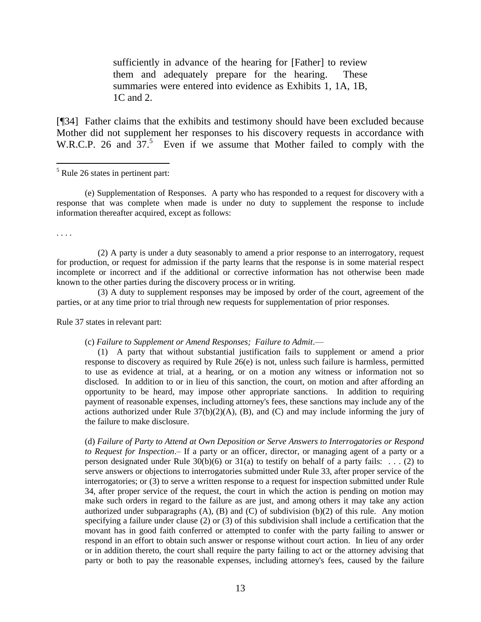sufficiently in advance of the hearing for [Father] to review them and adequately prepare for the hearing. These summaries were entered into evidence as Exhibits 1, 1A, 1B, 1C and 2.

[¶34] Father claims that the exhibits and testimony should have been excluded because Mother did not supplement her responses to his discovery requests in accordance with W.R.C.P. 26 and  $37.5$  Even if we assume that Mother failed to comply with the

<sup>5</sup> Rule 26 states in pertinent part:

(e) Supplementation of Responses. A party who has responded to a request for discovery with a response that was complete when made is under no duty to supplement the response to include information thereafter acquired, except as follows:

. . . .

 $\overline{a}$ 

 (2) A party is under a duty seasonably to amend a prior response to an interrogatory, request for production, or request for admission if the party learns that the response is in some material respect incomplete or incorrect and if the additional or corrective information has not otherwise been made known to the other parties during the discovery process or in writing.

 (3) A duty to supplement responses may be imposed by order of the court, agreement of the parties, or at any time prior to trial through new requests for supplementation of prior responses.

Rule 37 states in relevant part:

(c) *Failure to Supplement or Amend Responses; Failure to Admit*.—

 (1) A party that without substantial justification fails to supplement or amend a prior response to discovery as required by Rule 26(e) is not, unless such failure is harmless, permitted to use as evidence at trial, at a hearing, or on a motion any witness or information not so disclosed. In addition to or in lieu of this sanction, the court, on motion and after affording an opportunity to be heard, may impose other appropriate sanctions. In addition to requiring payment of reasonable expenses, including attorney's fees, these sanctions may include any of the actions authorized under Rule  $37(b)(2)(A)$ , (B), and (C) and may include informing the jury of the failure to make disclosure.

(d) *Failure of Party to Attend at Own Deposition or Serve Answers to Interrogatories or Respond to Request for Inspection*.– If a party or an officer, director, or managing agent of a party or a person designated under Rule  $30(b)(6)$  or  $31(a)$  to testify on behalf of a party fails: ... (2) to serve answers or objections to interrogatories submitted under Rule 33, after proper service of the interrogatories; or (3) to serve a written response to a request for inspection submitted under Rule 34, after proper service of the request, the court in which the action is pending on motion may make such orders in regard to the failure as are just, and among others it may take any action authorized under subparagraphs  $(A)$ ,  $(B)$  and  $(C)$  of subdivision  $(b)(2)$  of this rule. Any motion specifying a failure under clause (2) or (3) of this subdivision shall include a certification that the movant has in good faith conferred or attempted to confer with the party failing to answer or respond in an effort to obtain such answer or response without court action. In lieu of any order or in addition thereto, the court shall require the party failing to act or the attorney advising that party or both to pay the reasonable expenses, including attorney's fees, caused by the failure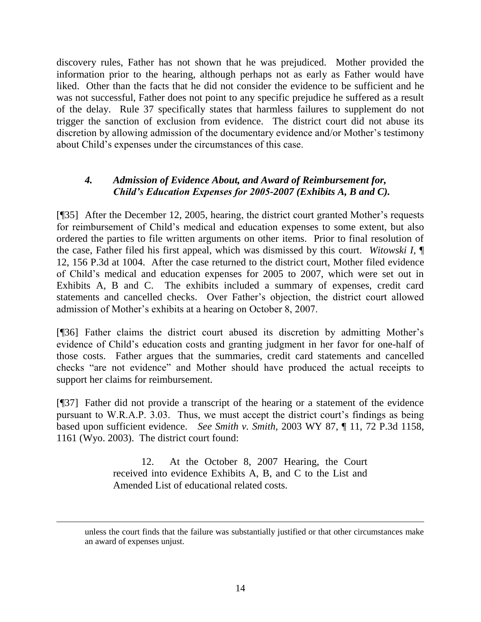discovery rules, Father has not shown that he was prejudiced. Mother provided the information prior to the hearing, although perhaps not as early as Father would have liked. Other than the facts that he did not consider the evidence to be sufficient and he was not successful, Father does not point to any specific prejudice he suffered as a result of the delay. Rule 37 specifically states that harmless failures to supplement do not trigger the sanction of exclusion from evidence. The district court did not abuse its discretion by allowing admission of the documentary evidence and/or Mother's testimony about Child's expenses under the circumstances of this case.

## *4. Admission of Evidence About, and Award of Reimbursement for, Child's Education Expenses for 2005-2007 (Exhibits A, B and C).*

[¶35] After the December 12, 2005, hearing, the district court granted Mother's requests for reimbursement of Child's medical and education expenses to some extent, but also ordered the parties to file written arguments on other items. Prior to final resolution of the case, Father filed his first appeal, which was dismissed by this court. *Witowski I,* ¶ 12, 156 P.3d at 1004. After the case returned to the district court, Mother filed evidence of Child's medical and education expenses for 2005 to 2007, which were set out in Exhibits A, B and C. The exhibits included a summary of expenses, credit card statements and cancelled checks. Over Father's objection, the district court allowed admission of Mother's exhibits at a hearing on October 8, 2007.

[¶36] Father claims the district court abused its discretion by admitting Mother's evidence of Child's education costs and granting judgment in her favor for one-half of those costs. Father argues that the summaries, credit card statements and cancelled checks "are not evidence" and Mother should have produced the actual receipts to support her claims for reimbursement.

[¶37] Father did not provide a transcript of the hearing or a statement of the evidence pursuant to W.R.A.P. 3.03. Thus, we must accept the district court's findings as being based upon sufficient evidence. *See Smith v. Smith,* 2003 WY 87, ¶ 11, 72 P.3d 1158, 1161 (Wyo. 2003). The district court found:

> 12. At the October 8, 2007 Hearing, the Court received into evidence Exhibits A, B, and C to the List and Amended List of educational related costs.

unless the court finds that the failure was substantially justified or that other circumstances make an award of expenses unjust.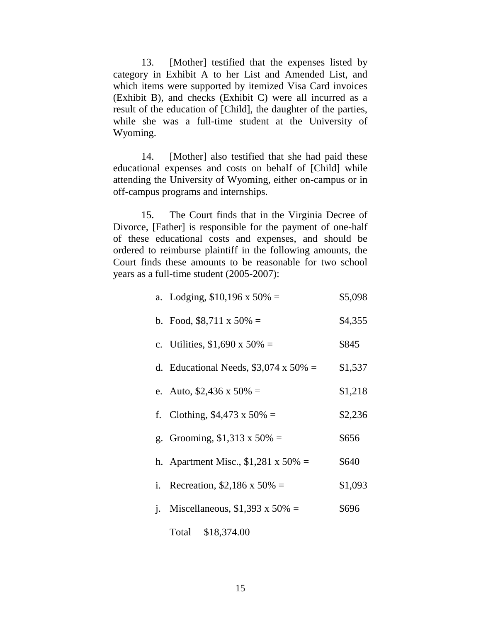13. [Mother] testified that the expenses listed by category in Exhibit A to her List and Amended List, and which items were supported by itemized Visa Card invoices (Exhibit B), and checks (Exhibit C) were all incurred as a result of the education of [Child], the daughter of the parties, while she was a full-time student at the University of Wyoming.

14. [Mother] also testified that she had paid these educational expenses and costs on behalf of [Child] while attending the University of Wyoming, either on-campus or in off-campus programs and internships.

15. The Court finds that in the Virginia Decree of Divorce, [Father] is responsible for the payment of one-half of these educational costs and expenses, and should be ordered to reimburse plaintiff in the following amounts, the Court finds these amounts to be reasonable for two school years as a full-time student (2005-2007):

|                | a. Lodging, $$10,196 \times 50\% =$        | \$5,098 |
|----------------|--------------------------------------------|---------|
|                | b. Food, $$8,711 \times 50\% =$            | \$4,355 |
|                | c. Utilities, $$1,690 \times 50\% =$       | \$845   |
|                | d. Educational Needs, \$3,074 x 50% =      | \$1,537 |
|                | e. Auto, $$2,436 \times 50\% =$            | \$1,218 |
|                | f. Clothing, $$4,473 \times 50\% =$        | \$2,236 |
|                | g. Grooming, $$1,313 \times 50\% =$        | \$656   |
|                | h. Apartment Misc., $$1,281 \times 50\% =$ | \$640   |
| i.             | Recreation, \$2,186 x 50% =                | \$1,093 |
| $\mathbf{i}$ . | Miscellaneous, $$1,393 \times 50\% =$      | \$696   |
|                | Total \$18,374.00                          |         |